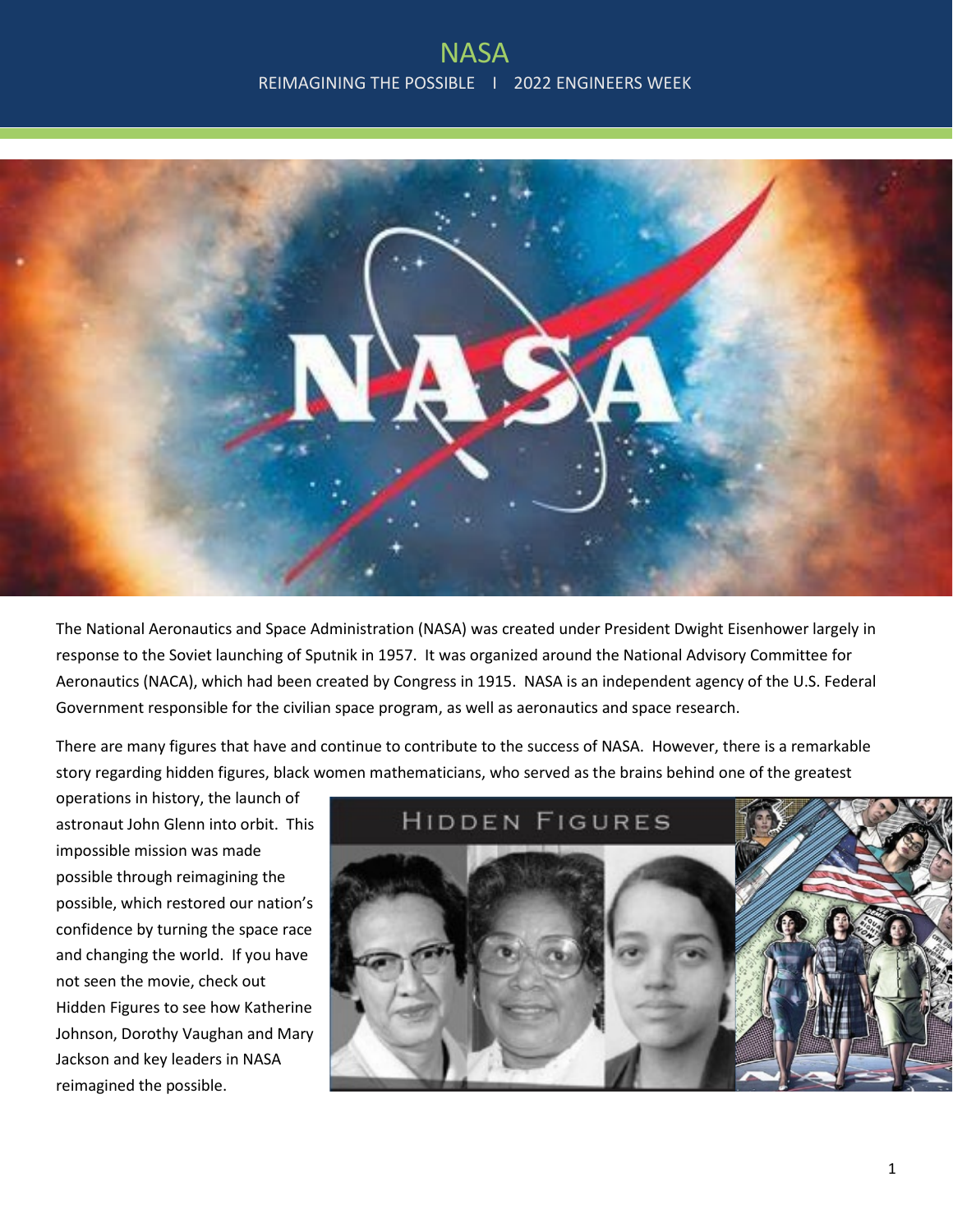

The National Aeronautics and Space Administration (NASA) was created under President Dwight Eisenhower largely in response to the Soviet launching of Sputnik in 1957. It was organized around the National Advisory Committee for Aeronautics (NACA), which had been created by Congress in 1915. NASA is an independent agency of the U.S. Federal Government responsible for the civilian space program, as well as aeronautics and space research.

There are many figures that have and continue to contribute to the success of NASA. However, there is a remarkable story regarding hidden figures, black women mathematicians, who served as the brains behind one of the greatest

operations in history, the launch of astronaut John Glenn into orbit. This impossible mission was made possible through reimagining the possible, which restored our nation's confidence by turning the space race and changing the world. If you have not seen the movie, check out Hidden Figures to see how Katherine Johnson, Dorothy Vaughan and Mary Jackson and key leaders in NASA reimagined the possible.